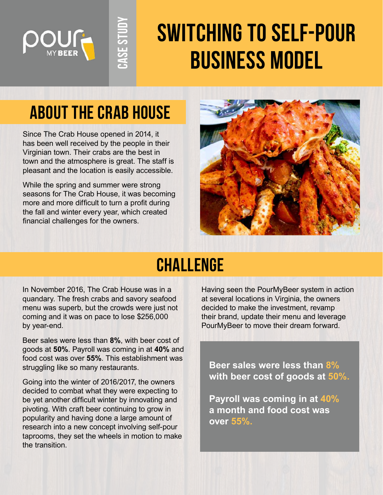

# **switching to self-pour business model**

## **About the Crab House**

**Case Study**

Since The Crab House opened in 2014, it has been well received by the people in their Virginian town. Their crabs are the best in town and the atmosphere is great. The staff is pleasant and the location is easily accessible.

While the spring and summer were strong seasons for The Crab House, it was becoming more and more difficult to turn a profit during the fall and winter every year, which created financial challenges for the owners.



#### **Challenge**

In November 2016, The Crab House was in a quandary. The fresh crabs and savory seafood menu was superb, but the crowds were just not coming and it was on pace to lose \$256,000 by year-end.

Beer sales were less than **8%**, with beer cost of goods at **50%**. Payroll was coming in at **40%** and food cost was over **55%**. This establishment was struggling like so many restaurants.

Going into the winter of 2016/2017, the owners decided to combat what they were expecting to be yet another difficult winter by innovating and pivoting. With craft beer continuing to grow in popularity and having done a large amount of research into a new concept involving self-pour taprooms, they set the wheels in motion to make the transition.

Having seen the PourMyBeer system in action at several locations in Virginia, the owners decided to make the investment, revamp their brand, update their menu and leverage PourMyBeer to move their dream forward.

**Beer sales were less than 8% with beer cost of goods at 50%.**

**Payroll was coming in at 40% a month and food cost was over 55%.**